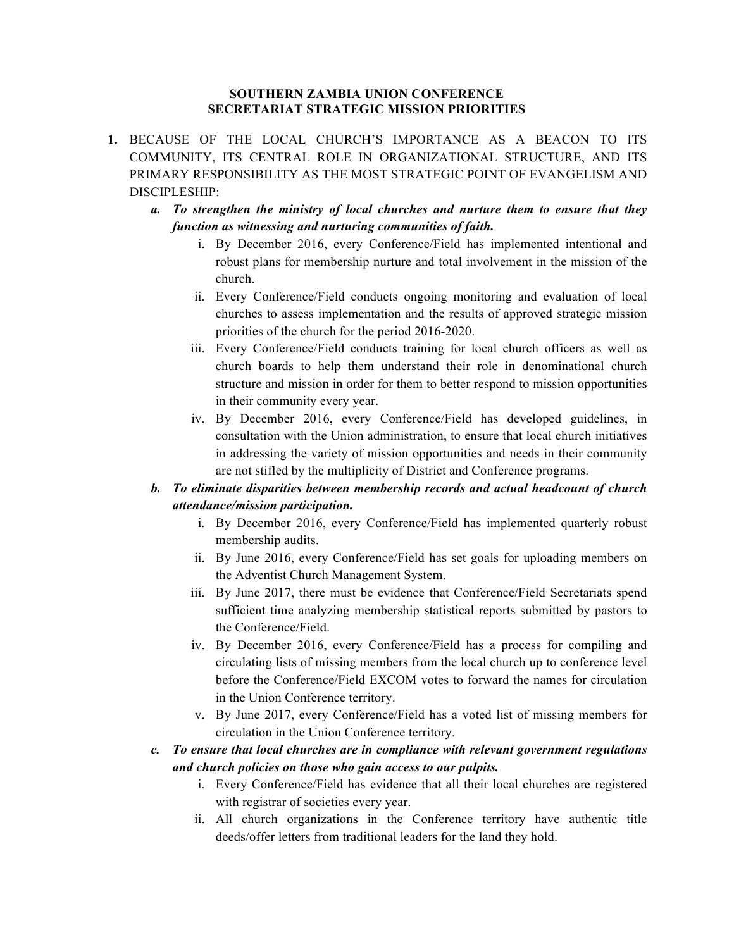## **SOUTHERN ZAMBIA UNION CONFERENCE SECRETARIAT STRATEGIC MISSION PRIORITIES**

- **1.** BECAUSE OF THE LOCAL CHURCH'S IMPORTANCE AS A BEACON TO ITS COMMUNITY, ITS CENTRAL ROLE IN ORGANIZATIONAL STRUCTURE, AND ITS PRIMARY RESPONSIBILITY AS THE MOST STRATEGIC POINT OF EVANGELISM AND DISCIPLESHIP:
	- *a. To strengthen the ministry of local churches and nurture them to ensure that they function as witnessing and nurturing communities of faith.*
		- i. By December 2016, every Conference/Field has implemented intentional and robust plans for membership nurture and total involvement in the mission of the church.
		- ii. Every Conference/Field conducts ongoing monitoring and evaluation of local churches to assess implementation and the results of approved strategic mission priorities of the church for the period 2016-2020.
		- iii. Every Conference/Field conducts training for local church officers as well as church boards to help them understand their role in denominational church structure and mission in order for them to better respond to mission opportunities in their community every year.
		- iv. By December 2016, every Conference/Field has developed guidelines, in consultation with the Union administration, to ensure that local church initiatives in addressing the variety of mission opportunities and needs in their community are not stifled by the multiplicity of District and Conference programs.

## *b. To eliminate disparities between membership records and actual headcount of church attendance/mission participation.*

- i. By December 2016, every Conference/Field has implemented quarterly robust membership audits.
- ii. By June 2016, every Conference/Field has set goals for uploading members on the Adventist Church Management System.
- iii. By June 2017, there must be evidence that Conference/Field Secretariats spend sufficient time analyzing membership statistical reports submitted by pastors to the Conference/Field.
- iv. By December 2016, every Conference/Field has a process for compiling and circulating lists of missing members from the local church up to conference level before the Conference/Field EXCOM votes to forward the names for circulation in the Union Conference territory.
- v. By June 2017, every Conference/Field has a voted list of missing members for circulation in the Union Conference territory.
- *c. To ensure that local churches are in compliance with relevant government regulations and church policies on those who gain access to our pulpits.*
	- i. Every Conference/Field has evidence that all their local churches are registered with registrar of societies every year.
	- ii. All church organizations in the Conference territory have authentic title deeds/offer letters from traditional leaders for the land they hold.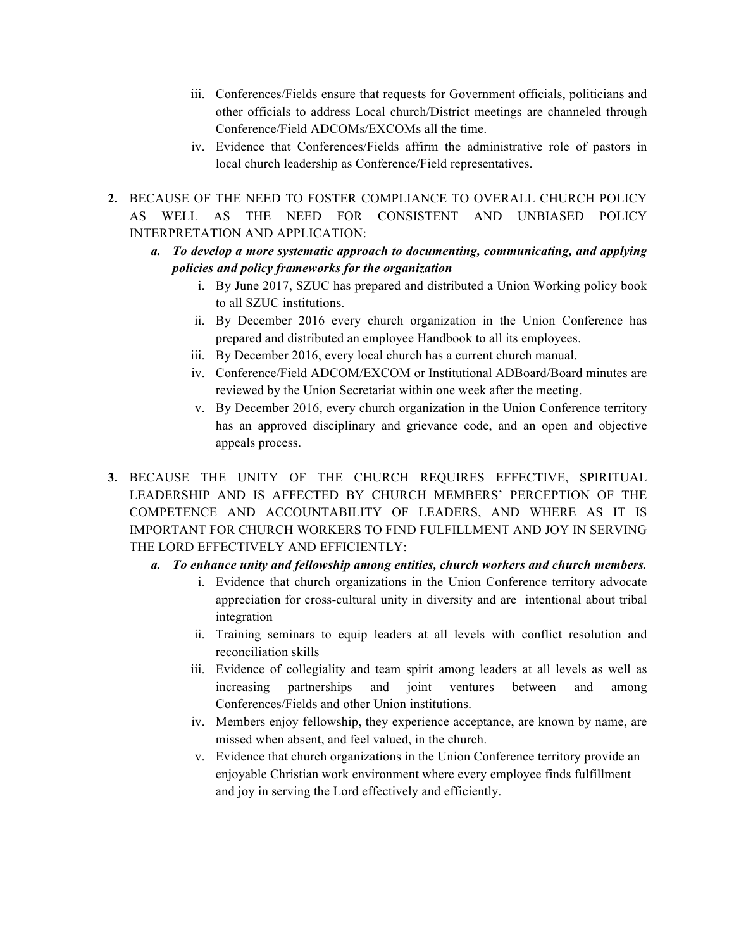- iii. Conferences/Fields ensure that requests for Government officials, politicians and other officials to address Local church/District meetings are channeled through Conference/Field ADCOMs/EXCOMs all the time.
- iv. Evidence that Conferences/Fields affirm the administrative role of pastors in local church leadership as Conference/Field representatives.
- **2.** BECAUSE OF THE NEED TO FOSTER COMPLIANCE TO OVERALL CHURCH POLICY AS WELL AS THE NEED FOR CONSISTENT AND UNBIASED POLICY INTERPRETATION AND APPLICATION:
	- *a. To develop a more systematic approach to documenting, communicating, and applying policies and policy frameworks for the organization*
		- i. By June 2017, SZUC has prepared and distributed a Union Working policy book to all SZUC institutions.
		- ii. By December 2016 every church organization in the Union Conference has prepared and distributed an employee Handbook to all its employees.
		- iii. By December 2016, every local church has a current church manual.
		- iv. Conference/Field ADCOM/EXCOM or Institutional ADBoard/Board minutes are reviewed by the Union Secretariat within one week after the meeting.
		- v. By December 2016, every church organization in the Union Conference territory has an approved disciplinary and grievance code, and an open and objective appeals process.
- **3.** BECAUSE THE UNITY OF THE CHURCH REQUIRES EFFECTIVE, SPIRITUAL LEADERSHIP AND IS AFFECTED BY CHURCH MEMBERS' PERCEPTION OF THE COMPETENCE AND ACCOUNTABILITY OF LEADERS, AND WHERE AS IT IS IMPORTANT FOR CHURCH WORKERS TO FIND FULFILLMENT AND JOY IN SERVING THE LORD EFFECTIVELY AND EFFICIENTLY:
	- *a. To enhance unity and fellowship among entities, church workers and church members.*
		- i. Evidence that church organizations in the Union Conference territory advocate appreciation for cross-cultural unity in diversity and are intentional about tribal integration
		- ii. Training seminars to equip leaders at all levels with conflict resolution and reconciliation skills
		- iii. Evidence of collegiality and team spirit among leaders at all levels as well as increasing partnerships and joint ventures between and among Conferences/Fields and other Union institutions.
		- iv. Members enjoy fellowship, they experience acceptance, are known by name, are missed when absent, and feel valued, in the church.
		- v. Evidence that church organizations in the Union Conference territory provide an enjoyable Christian work environment where every employee finds fulfillment and joy in serving the Lord effectively and efficiently.